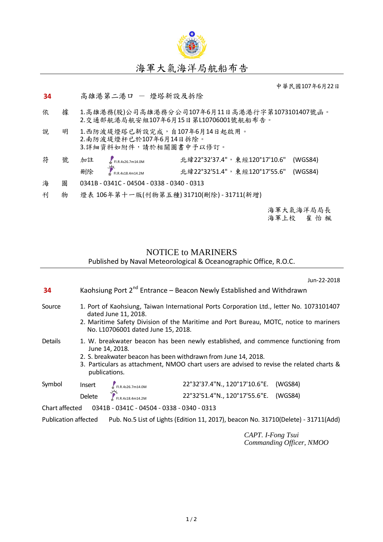

中華民國107年6月22日

## 34 高雄港第二港口 一 燈塔新設及拆除

依 據 1.高雄港務(股)公司高雄港務分公司107年6月11日高港港行字第1073101407號函。 2.交通部航港局航安組107年6月15日第L10706001號航船布告。

| 說. | 1.西防波堤燈塔已新設完成,自107年6月14日起啟用。 |
|----|------------------------------|
|    | 2.南防波堤燈杆已於107年6月14日拆除。       |
|    | 3.詳細資料如附件,請於相關圖書中予以修訂。       |

| 符 |  | 號 加註 <sub>FI.R.4s26.7m14.0M</sub>                     | 北緯22°32'37.4", 東經120°17'10.6" (WGS84) |  |
|---|--|-------------------------------------------------------|---------------------------------------|--|
|   |  | 刑除<br>$\sum_{k=1}^{11} F_{1.06,4518.4 \text{m14.2M}}$ | 北緯22°32'51.4",東經120°17'55.6" (WGS84)  |  |
| L |  | $0.2115 0.2115 0.1501 0.220 0.210 0.210$              |                                       |  |

- 海 圖 0341B 0341C 04504 0338 0340 0313
- 刊 物 燈表 106年第十一版(刊物第五種) 31710(刪除) 31711(新增)

海軍大氣海洋局局長<br>海軍上校 崔 怡 楓 海軍上校 崔 怡 楓

# NOTICE to MARINERS

## Published by Naval Meteorological & Oceanographic Office, R.O.C.

Jun-22-2018

| 34                                                                                                         | Kaohsiung Port 2 <sup>nd</sup> Entrance – Beacon Newly Established and Withdrawn                                                                                                                                                                                                    |                                            |                                                                |         |  |  |
|------------------------------------------------------------------------------------------------------------|-------------------------------------------------------------------------------------------------------------------------------------------------------------------------------------------------------------------------------------------------------------------------------------|--------------------------------------------|----------------------------------------------------------------|---------|--|--|
| Source                                                                                                     | 1. Port of Kaohsiung, Taiwan International Ports Corporation Ltd., letter No. 1073101407<br>dated June 11, 2018.<br>2. Maritime Safety Division of the Maritime and Port Bureau, MOTC, notice to mariners<br>No. L10706001 dated June 15, 2018.                                     |                                            |                                                                |         |  |  |
| <b>Details</b>                                                                                             | 1. W. breakwater beacon has been newly established, and commence functioning from<br>June 14, 2018.<br>2. S. breakwater beacon has been withdrawn from June 14, 2018.<br>3. Particulars as attachment, NMOO chart users are advised to revise the related charts &<br>publications. |                                            |                                                                |         |  |  |
| Symbol                                                                                                     | Insert                                                                                                                                                                                                                                                                              | FIR.4s26.7m14.0M                           | 22°32'37.4"N., 120°17'10.6"E.                                  | (WGS84) |  |  |
|                                                                                                            | <b>Delete</b>                                                                                                                                                                                                                                                                       | FI.R.4s18.4m14.2M                          | 22°32'51.4"N., 120°17'55.6"E. (WGS84)                          |         |  |  |
| Chart affected                                                                                             |                                                                                                                                                                                                                                                                                     | 0341B - 0341C - 04504 - 0338 - 0340 - 0313 |                                                                |         |  |  |
| Pub. No.5 List of Lights (Edition 11, 2017), beacon No. 31710(Delete) - 31711(Add)<br>Publication affected |                                                                                                                                                                                                                                                                                     |                                            |                                                                |         |  |  |
|                                                                                                            |                                                                                                                                                                                                                                                                                     |                                            | $C$ $\lambda$ $D$ $\overline{D}$ $\overline{D}$ $\overline{D}$ |         |  |  |

*CAPT. I-Fong Tsui Commanding Officer, NMOO*